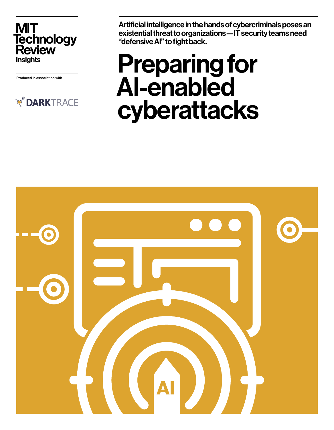**MIT** Technology<br>Review **Insights** 

Produced in association with



Artificial intelligence in the hands of cybercriminals poses an existential threat to organizations—IT security teams need "defensive AI" to fight back.

# Preparing for AI-enabled cyberattacks

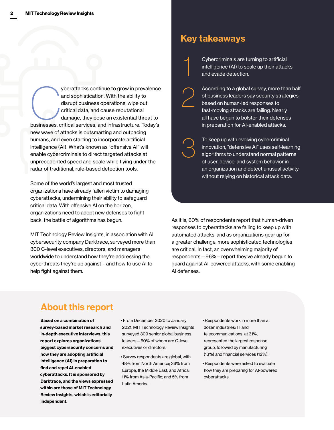yberattacks continue to grow in prevalence<br>
and sophistication. With the ability to<br>
disrupt business operations, wipe out<br>
critical data, and cause reputational<br>
damage, they pose an existential threat to<br>
businesses, cri and sophistication. With the ability to disrupt business operations, wipe out critical data, and cause reputational damage, they pose an existential threat to new wave of attacks is outsmarting and outpacing humans, and even starting to incorporate artificial intelligence (AI). What's known as "offensive AI" will enable cybercriminals to direct targeted attacks at unprecedented speed and scale while flying under the radar of traditional, rule-based detection tools.

Some of the world's largest and most trusted organizations have already fallen victim to damaging cyberattacks, undermining their ability to safeguard critical data. With offensive AI on the horizon, organizations need to adopt new defenses to fight back: the battle of algorithms has begun.

MIT Technology Review Insights, in association with AI cybersecurity company Darktrace, surveyed more than 300 C-level executives, directors, and managers worldwide to understand how they're addressing the cyberthreats they're up against—and how to use AI to help fight against them.

### Key takeaways

2

3

1

Cybercriminals are turning to artificial intelligence (AI) to scale up their attacks and evade detection.

According to a global survey, more than half of business leaders say security strategies based on human-led responses to fast-moving attacks are failing. Nearly all have begun to bolster their defenses in preparation for AI-enabled attacks.

To keep up with evolving cybercriminal innovation, "defensive AI" uses self-learning algorithms to understand normal patterns of user, device, and system behavior in an organization and detect unusual activity without relying on historical attack data.

As it is, 60% of respondents report that human-driven responses to cyberattacks are failing to keep up with automated attacks, and as organizations gear up for a greater challenge, more sophisticated technologies are critical. In fact, an overwhelming majority of respondents—96%—report they've already begun to guard against AI-powered attacks, with some enabling AI defenses.

### About this report

Based on a combination of survey-based market research and in-depth executive interviews, this report explores organizations' biggest cybersecurity concerns and how they are adopting artificial intelligence (AI) in preparation to find and repel AI-enabled cyberattacks. It is sponsored by Darktrace, and the views expressed within are those of MIT Technology Review Insights, which is editorially independent.

- From December 2020 to January 2021, MIT Technology Review Insights surveyed 309 senior global business leaders—60% of whom are C-level executives or directors.
- Survey respondents are global, with 48% from North America; 36% from Europe, the Middle East, and Africa; 11% from Asia-Pacific; and 5% from Latin America.
- Respondents work in more than a dozen industries: IT and telecommunications, at 31%, represented the largest response group, followed by manufacturing (13%) and financial services (12%).
- Respondents were asked to evaluate how they are preparing for AI-powered cyberattacks.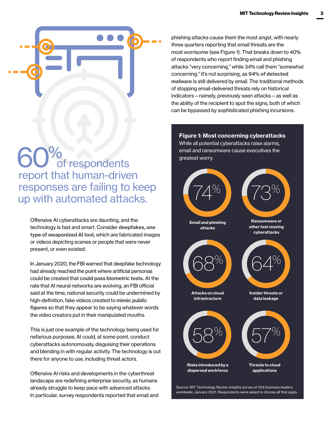

## 60% of respondents report that human-driven responses are failing to keep up with automated attacks.

Offensive AI cyberattacks are daunting, and the technology is fast and smart. Consider [deepfakes, one](https://www.technologyreview.com/2020/09/29/1009098/ai-deepfake-putin-kim-jong-un-us-election/)  [type of weaponized AI tool,](https://www.technologyreview.com/2020/09/29/1009098/ai-deepfake-putin-kim-jong-un-us-election/) which are fabricated images or videos depicting scenes or people that were never present, or even existed.

In January 2020, th[e](https://www.wsj.com/articles/fbi-warns-deepfakes-might-become-indistinguishable-from-reality-11) FBI warned that deepfake technology had already reached the point where artificial personas could be created that [could pass biometric tests.](https://www.wsj.com/articles/fbi-warns-deepfakes-might-become-indistinguishable-from-reality-11579257004) At the rate that AI neural networks are evolving, an FBI official said at the time, national security could be undermined by high-definition, fake videos created t[o](https://www.creativebloq.com/features/) [mimic public](https://www.creativebloq.com/features/deepfake-examples)  [figures](https://www.creativebloq.com/features/deepfake-examples) so that they appear to be saying whatever words the video creators put in their manipulated mouths.

This is just one example of the technology being used for nefarious purposes. AI could, at some point, conduct cyberattacks autonomously, disguising their operations and blending in with regular activity. The technology is out there for anyone to use, including threat actors.

Offensive AI risks and developments in the cyberthreat landscape are redefining enterprise security, as humans already struggle to keep pace with advanced attacks. In particular, survey respondents reported that email and phishing attacks cause them the most angst, with nearly three quarters reporting that email threats are the most worrisome (see Figure 1). That breaks down to 40% of respondents who report finding email and phishing attacks "very concerning," while 34% call them "somewhat concerning." It's not surprising, as [94% of detected](https://info.phishlabs.com/blog/phishing-number-1-data-breaches-lessons-verizon)  [malware](https://info.phishlabs.com/blog/phishing-number-1-data-breaches-lessons-verizon) is still delivered by email. The traditional methods of stopping email-delivered threats rely on historical indicators—namely, previously seen attacks—as well as the ability of the recipient to spot the signs, both of which can be bypassed by sophisticated phishing incursions.

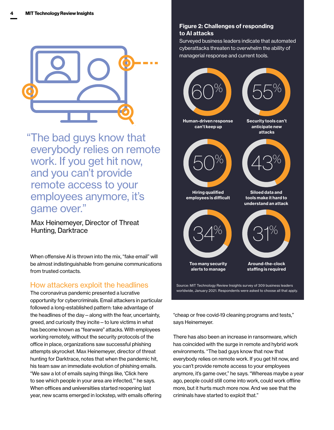

"The bad guys know that everybody relies on remote work. If you get hit now, and you can't provide remote access to your employees anymore, it's game over."

Max Heinemeyer, Director of Threat Hunting, Darktrace

When offensive AI is thrown into the mix, "fake email" will be almost indistinguishable from genuine communications from trusted contacts.

#### How attackers exploit the headlines

The coronavirus pandemic presented a lucrative opportunity for cybercriminals. Email attackers in particular followed a long-established pattern: take advantage of the headlines of the day—along with the fear, uncertainty, greed, and curiosity they incite—to lure victims in what has become known as "fearware" attacks. With employees working remotely, without the security protocols of the office in place, organizations saw successful phishing attempts skyrocket. Max Heinemeyer, director of threat hunting for Darktrace, notes that when the pandemic hit, his team saw an immediate evolution of phishing emails. "We saw a lot of emails saying things like, 'Click here to see which people in your area are infected,'" he says. When offices and universities started reopening last year, new scams emerged in lockstep, with emails offering

#### Figure 2: Challenges of responding to AI attacks

Surveyed business leaders indicate that automated cyberattacks threaten to overwhelm the ability of managerial response and current tools.



"cheap or free covid-19 cleaning programs and tests," says Heinemeyer.

There has also been an increase in ransomware, which has coincided with the surge in remote and hybrid work environments. "The bad guys know that now that everybody relies on remote work. If you get hit now, and you can't provide remote access to your employees anymore, it's game over," he says. "Whereas maybe a year ago, people could still come into work, could work offline more, but it hurts much more now. And we see that the criminals have started to exploit that."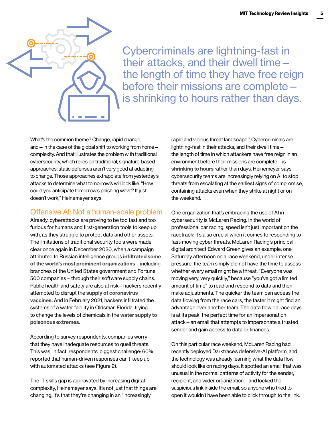

Cybercriminals are lightning-fast in their attacks, and their dwell time the length of time they have free reign before their missions are complete is [shrinking to hours rather than days](https://www.sans.org/webcasts/shrinking-attack-dwell-times-phishing-case-study-demo-105490).

What's the common theme? Change, rapid change, and—in the case of the global shift to working from home complexity. And that illustrates the problem with traditional cybersecurity, which relies on traditional, signature-based approaches: static defenses aren't very good at adapting to change. Those approaches extrapolate from yesterday's attacks to determine what tomorrow's will look like. "How could you anticipate tomorrow's phishing wave? It just doesn't work," Heinemeyer says.

#### Offensive AI: Not a human-scale problem

Already, cyberattacks are proving to be too fast and too furious for humans and first-generation tools to keep up with, as they struggle to protect data and other assets. The limitations of traditional security tools were made clear once again in December 2020, when a campaign attributed to Russian intelligence groups [infiltrated some](https://www.cbsnews.com/news/solarwinds-hack-russia-cyberattack-60-minutes-2021-02-14/)  [of the world's most prominent organizations](https://www.cbsnews.com/news/solarwinds-hack-russia-cyberattack-60-minutes-2021-02-14/)—including branches of the United States government and Fortune 500 companies—through their software supply chains. Public health and safety are also at risk—hackers recently attempted to disrupt the [supply of coronavirus](https://www.computerweekly.com/news/252493091/Covid-19-vaccine-supply-chain-attacked-by-unknown-nation-state)  [vaccines.](https://www.computerweekly.com/news/252493091/Covid-19-vaccine-supply-chain-attacked-by-unknown-nation-state) And in February 2021, hackers infiltrated the systems of a water facility in Oldsmar, Florida, trying to change the levels of chemicals in the [water supply to](https://www.cnn.com/2021/02/10/us/florida-water-poison-cyber/index.html)  [poisonous extremes.](https://www.cnn.com/2021/02/10/us/florida-water-poison-cyber/index.html)

According to survey respondents, companies worry that they have inadequate resources to quell threats. This was, in fact, respondents' biggest challenge: 60% reported that human-driven responses can't keep up with automated attacks (see Figure 2).

The IT skills gap is aggravated by increasing digital complexity, Heinemeyer says. It's not just that things are changing; it's that they're changing in an "increasingly

rapid and vicious threat landscape." Cybercriminals are lightning-fast in their attacks, and their dwell time the length of time in which attackers have free reign in an environment before their missions are complete—is [shrinking to hours](https://www.sans.org/webcasts/shrinking-attack-dwell-times-phishing-case-study-demo-105490) rather than days. Heinemeyer says cybersecurity teams are increasingly relying on AI to stop threats from escalating at the earliest signs of compromise, containing attacks even when they strike at night or on the weekend.

One organization that's embracing the use of AI in cybersecurity is McLaren Racing. In the world of professional car racing, speed isn't just important on the racetrack; it's also crucial when it comes to responding to fast-moving cyber threats. McLaren Racing's principal digital architect Edward Green gives an example: one Saturday afternoon on a race weekend, under intense pressure, the team simply did not have the time to assess whether every email might be a threat. "Everyone was moving very, very quickly," because "you've got a limited amount of time" to read and respond to data and then make adjustments. The quicker the team can access the data flowing from the race cars, the faster it might find an advantage over another team. The data flow on race days is at its peak, the perfect time for an impersonation attack—an email that attempts to impersonate a trusted sender and gain access to data or finances.

On this particular race weekend, McLaren Racing had recently deployed Darktrace's defensive-AI platform, and the technology was already learning what the data flow should look like on racing days. It spotted an email that was unusual in the normal patterns of activity for the sender, recipient, and wider organization—and locked the suspicious link inside the email, so anyone who tried to open it wouldn't have been able to click through to the link.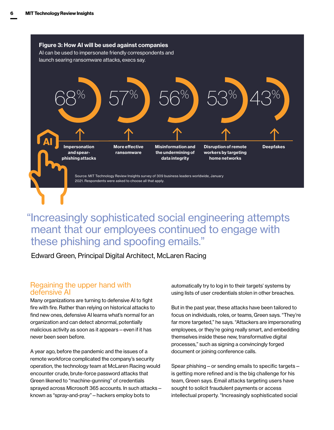

### "Increasingly sophisticated social engineering attempts meant that our employees continued to engage with these phishing and spoofing emails."

Edward Green, Principal Digital Architect, McLaren Racing

#### Regaining the upper hand with defensive AI

Many organizations are turning to defensive AI to fight fire with fire. Rather than relying on historical attacks to find new ones, defensive AI learns what's normal for an organization and can detect abnormal, potentially malicious activity as soon as it appears—even if it has never been seen before.

A year ago, before the pandemic and the issues of a remote workforce complicated the company's security operation, the technology team at McLaren Racing would encounter crude, brute-force password attacks that Green likened to "machine-gunning" of credentials sprayed across Microsoft 365 accounts. In such attacks known as "spray-and-pray"—hackers employ bots to

automatically try to log in to their targets' systems by using lists of user credentials stolen in other breaches.

But in the past year, these attacks have been tailored to focus on individuals, roles, or teams, Green says. "They're far more targeted," he says. "Attackers are impersonating employees, or they're going really smart, and embedding themselves inside these new, transformative digital processes," such as signing a convincingly forged document or joining conference calls.

Spear phishing—or sending emails to specific targets is getting more refined and is the big challenge for his team, Green says. Email attacks targeting users have sought to solicit fraudulent payments or access intellectual property. "Increasingly sophisticated social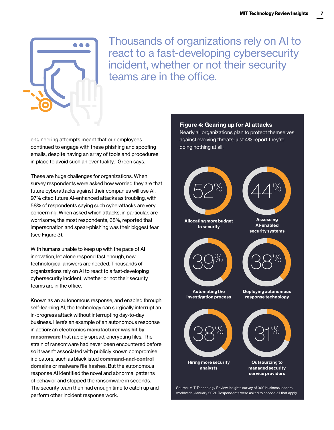

Thousands of organizations rely on AI to react to a fast-developing cybersecurity incident, whether or not their security teams are in the office.

engineering attempts meant that our employees continued to engage with these phishing and spoofing emails, despite having an array of tools and procedures in place to avoid such an eventuality," Green says.

These are huge challenges for organizations. When survey respondents were asked how worried they are that future cyberattacks against their companies will use AI, 97% cited future AI-enhanced attacks as troubling, with 58% of respondents saying such cyberattacks are very concerning. When asked which attacks, in particular, are worrisome, the most respondents, 68%, reported that impersonation and spear-phishing was their biggest fear (see Figure 3).

With humans unable to keep up with the pace of AI innovation, let alone respond fast enough, new technological answers are needed. Thousands of organizations rely on AI to react to a fast-developing cybersecurity incident, whether or not their security teams are in the office.

Known as an autonomous response, and enabled through self-learning AI, the technology can surgically interrupt an in-progress attack without interrupting day-to-day business. Here's an example of an autonomous response in action: an [electronics manufacturer was hit by](https://www.darktrace.com/en/blog/stopped-in-its-tracks-how-antigena-neutralizes-zero-day-ransomware/)  [ransomware](https://www.darktrace.com/en/blog/stopped-in-its-tracks-how-antigena-neutralizes-zero-day-ransomware/) that rapidly spread, encrypting files. The strain of ransomware had never been encountered before, so it wasn't associated with publicly known compromise indicators, such as blacklisted [command-and-control](https://whatis.techtarget.com/definition/command-and-control-server-CC-server)  [domains](https://whatis.techtarget.com/definition/command-and-control-server-CC-server) or [malware file hashes](https://www.oreilly.com/library/view/practical-malware-analysis/9781593272906/ch02s02.html). But the autonomous response AI identified the novel and abnormal patterns of behavior and stopped the ransomware in seconds. The security team then had enough time to catch up and perform other incident response work.

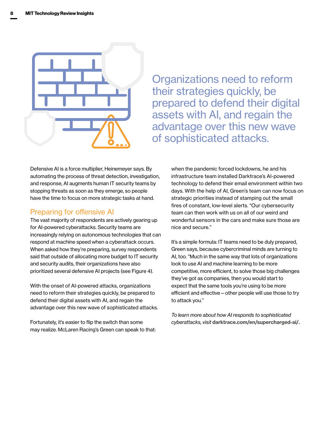

Organizations need to reform their strategies quickly, be prepared to defend their digital assets with AI, and regain the advantage over this new wave of sophisticated attacks.

Defensive AI is a force multiplier, Heinemeyer says. By automating the process of threat detection, investigation, and response, AI augments human IT security teams by stopping threats as soon as they emerge, so people have the time to focus on more strategic tasks at hand.

#### Preparing for offensive AI

The vast majority of respondents are actively gearing up for AI-powered cyberattacks. Security teams are increasingly relying on autonomous technologies that can respond at machine speed when a cyberattack occurs. When asked how they're preparing, survey respondents said that outside of allocating more budget to IT security and security audits, their organizations have also prioritized several defensive AI projects (see Figure 4).

With the onset of AI-powered attacks, organizations need to reform their strategies quickly, be prepared to defend their digital assets with AI, and regain the advantage over this new wave of sophisticated attacks.

Fortunately, it's easier to flip the switch than some may realize. McLaren Racing's Green can speak to that: when the pandemic forced lockdowns, he and his infrastructure team installed Darktrace's AI-powered technology to defend their email environment within two days. With the help of AI, Green's team can now focus on strategic priorities instead of stamping out the small fires of constant, low-level alerts. "Our cybersecurity team can then work with us on all of our weird and wonderful sensors in the cars and make sure those are nice and secure."

It's a simple formula: IT teams need to be duly prepared, Green says, because cybercriminal minds are turning to AI, too. "Much in the same way that lots of organizations look to use AI and machine learning to be more competitive, more efficient, to solve those big challenges they've got as companies, then you would start to expect that the same tools you're using to be more efficient and effective—other people will use those to try to attack you."

*To learn more about how AI responds to sophisticated cyberattacks, visit* [darktrace.com/en/supercharged-ai/](https://www.darktrace.com/en/supercharged-ai/).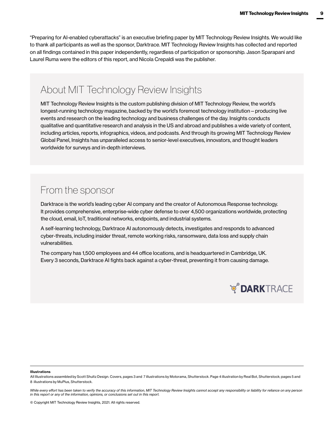"Preparing for AI-enabled cyberattacks" is an executive briefing paper by MIT Technology Review Insights. We would like to thank all participants as well as the sponsor, Darktrace. MIT Technology Review Insights has collected and reported on all findings contained in this paper independently, regardless of participation or sponsorship. Jason Sparapani and Laurel Ruma were the editors of this report, and Nicola Crepaldi was the publisher.

### About MIT Technology Review Insights

MIT Technology Review Insights is the custom publishing division of MIT Technology Review, the world's longest-running technology magazine, backed by the world's foremost technology institution—producing live events and research on the leading technology and business challenges of the day. Insights conducts qualitative and quantitative research and analysis in the US and abroad and publishes a wide variety of content, including articles, reports, infographics, videos, and podcasts. And through its growing MIT Technology Review Global Panel, Insights has unparalleled access to senior-level executives, innovators, and thought leaders worldwide for surveys and in-depth interviews.

### From the sponsor

Darktrace is the world's leading cyber AI company and the creator of Autonomous Response technology. It provides comprehensive, enterprise-wide cyber defense to over 4,500 organizations worldwide, protecting the cloud, email, IoT, traditional networks, endpoints, and industrial systems.

A self-learning technology, Darktrace AI autonomously detects, investigates and responds to advanced cyber-threats, including insider threat, remote working risks, ransomware, data loss and supply chain vulnerabilities.

The company has 1,500 employees and 44 office locations, and is headquartered in Cambridge, UK. Every 3 seconds, Darktrace AI fights back against a cyber-threat, preventing it from causing damage.



#### Illustrations

All Illustrations assembled by Scott Shultz Design. Covers, pages 3 and 7 illustrations by Motorama, Shutterstock. Page 4 illustration by Real Bot, Shutterstock; pages 5 and 8 illustrations by MuPlus, Shutterstock.

While every effort has been taken to verify the accuracy of this information, MIT Technology Review Insights cannot accept any responsibility or liability for reliance on any person *in this report or any of the information, opinions, or conclusions set out in this report.*

© Copyright MIT Technology Review Insights, 2021. All rights reserved.